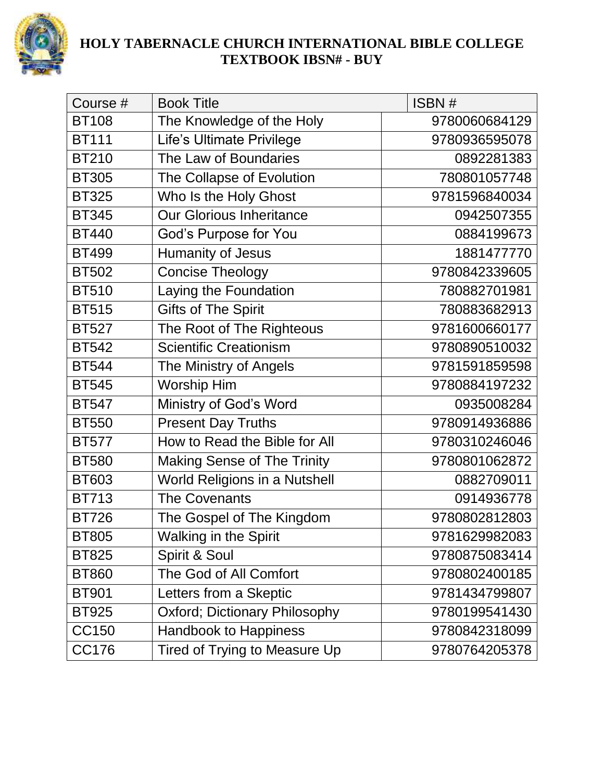

| Course #     | <b>Book Title</b>                  | ISBN#         |
|--------------|------------------------------------|---------------|
| <b>BT108</b> | The Knowledge of the Holy          | 9780060684129 |
| <b>BT111</b> | Life's Ultimate Privilege          | 9780936595078 |
| <b>BT210</b> | The Law of Boundaries              | 0892281383    |
| <b>BT305</b> | The Collapse of Evolution          | 780801057748  |
| <b>BT325</b> | Who Is the Holy Ghost              | 9781596840034 |
| <b>BT345</b> | <b>Our Glorious Inheritance</b>    | 0942507355    |
| <b>BT440</b> | God's Purpose for You              | 0884199673    |
| <b>BT499</b> | Humanity of Jesus                  | 1881477770    |
| <b>BT502</b> | <b>Concise Theology</b>            | 9780842339605 |
| <b>BT510</b> | Laying the Foundation              | 780882701981  |
| <b>BT515</b> | <b>Gifts of The Spirit</b>         | 780883682913  |
| <b>BT527</b> | The Root of The Righteous          | 9781600660177 |
| <b>BT542</b> | <b>Scientific Creationism</b>      | 9780890510032 |
| <b>BT544</b> | The Ministry of Angels             | 9781591859598 |
| <b>BT545</b> | Worship Him                        | 9780884197232 |
| <b>BT547</b> | Ministry of God's Word             | 0935008284    |
| <b>BT550</b> | <b>Present Day Truths</b>          | 9780914936886 |
| <b>BT577</b> | How to Read the Bible for All      | 9780310246046 |
| <b>BT580</b> | <b>Making Sense of The Trinity</b> | 9780801062872 |
| <b>BT603</b> | World Religions in a Nutshell      | 0882709011    |
| <b>BT713</b> | <b>The Covenants</b>               | 0914936778    |
| <b>BT726</b> | The Gospel of The Kingdom          | 9780802812803 |
| <b>BT805</b> | <b>Walking in the Spirit</b>       | 9781629982083 |
| <b>BT825</b> | Spirit & Soul                      | 9780875083414 |
| <b>BT860</b> | The God of All Comfort             | 9780802400185 |
| <b>BT901</b> | Letters from a Skeptic             | 9781434799807 |
| <b>BT925</b> | Oxford; Dictionary Philosophy      | 9780199541430 |
| <b>CC150</b> | <b>Handbook to Happiness</b>       | 9780842318099 |
| <b>CC176</b> | Tired of Trying to Measure Up      | 9780764205378 |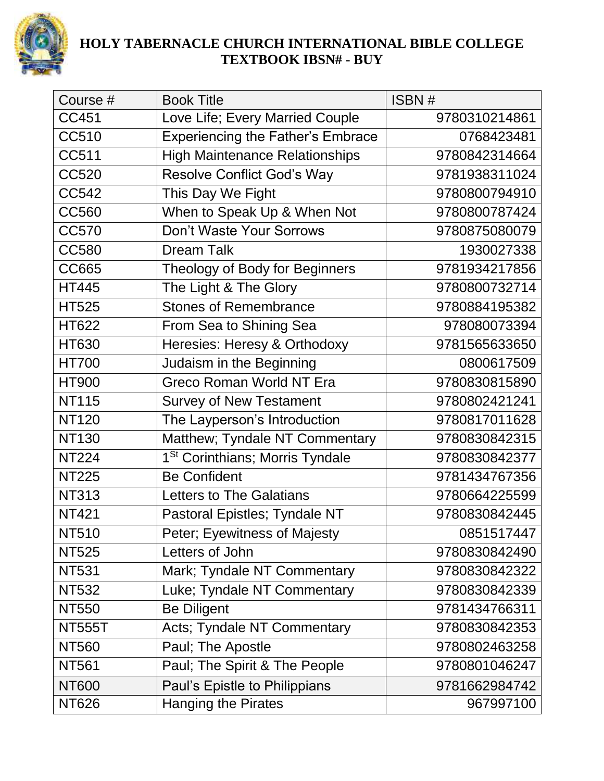

| Course #      | <b>Book Title</b>                           | ISBN#         |
|---------------|---------------------------------------------|---------------|
| <b>CC451</b>  | Love Life; Every Married Couple             | 9780310214861 |
| CC510         | <b>Experiencing the Father's Embrace</b>    | 0768423481    |
| <b>CC511</b>  | <b>High Maintenance Relationships</b>       | 9780842314664 |
| <b>CC520</b>  | <b>Resolve Conflict God's Way</b>           | 9781938311024 |
| <b>CC542</b>  | This Day We Fight                           | 9780800794910 |
| <b>CC560</b>  | When to Speak Up & When Not                 | 9780800787424 |
| <b>CC570</b>  | Don't Waste Your Sorrows                    | 9780875080079 |
| <b>CC580</b>  | <b>Dream Talk</b>                           | 1930027338    |
| <b>CC665</b>  | Theology of Body for Beginners              | 9781934217856 |
| <b>HT445</b>  | The Light & The Glory                       | 9780800732714 |
| <b>HT525</b>  | <b>Stones of Remembrance</b>                | 9780884195382 |
| HT622         | From Sea to Shining Sea                     | 978080073394  |
| <b>HT630</b>  | Heresies: Heresy & Orthodoxy                | 9781565633650 |
| <b>HT700</b>  | Judaism in the Beginning                    | 0800617509    |
| <b>HT900</b>  | Greco Roman World NT Era                    | 9780830815890 |
| <b>NT115</b>  | <b>Survey of New Testament</b>              | 9780802421241 |
| <b>NT120</b>  | The Layperson's Introduction                | 9780817011628 |
| <b>NT130</b>  | Matthew; Tyndale NT Commentary              | 9780830842315 |
| <b>NT224</b>  | 1 <sup>St</sup> Corinthians; Morris Tyndale | 9780830842377 |
| <b>NT225</b>  | <b>Be Confident</b>                         | 9781434767356 |
| <b>NT313</b>  | <b>Letters to The Galatians</b>             | 9780664225599 |
| <b>NT421</b>  | Pastoral Epistles; Tyndale NT               | 9780830842445 |
| <b>NT510</b>  | Peter; Eyewitness of Majesty                | 0851517447    |
| <b>NT525</b>  | Letters of John                             | 9780830842490 |
| <b>NT531</b>  | Mark; Tyndale NT Commentary                 | 9780830842322 |
| <b>NT532</b>  | Luke; Tyndale NT Commentary                 | 9780830842339 |
| <b>NT550</b>  | <b>Be Diligent</b>                          | 9781434766311 |
| <b>NT555T</b> | Acts; Tyndale NT Commentary                 | 9780830842353 |
| <b>NT560</b>  | Paul; The Apostle                           | 9780802463258 |
| <b>NT561</b>  | Paul; The Spirit & The People               | 9780801046247 |
| <b>NT600</b>  | Paul's Epistle to Philippians               | 9781662984742 |
| <b>NT626</b>  | <b>Hanging the Pirates</b>                  | 967997100     |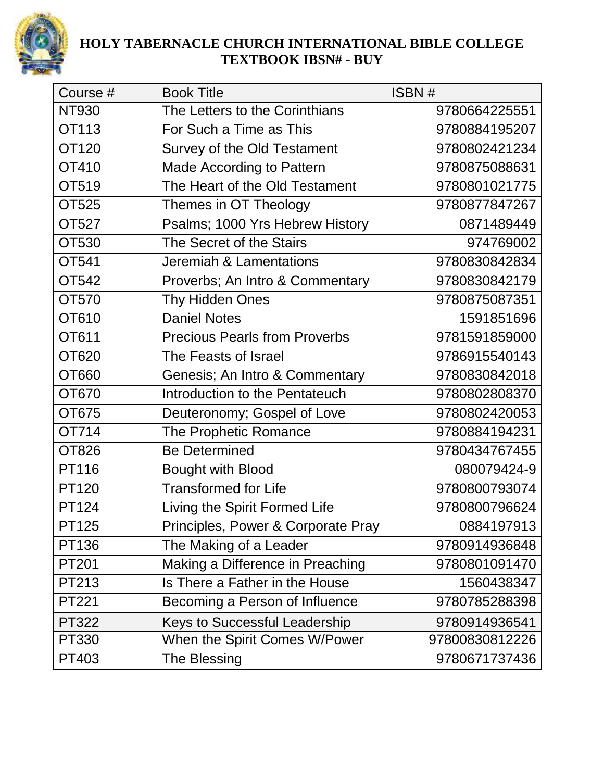

| Course #     | <b>Book Title</b>                    | ISBN#          |
|--------------|--------------------------------------|----------------|
| <b>NT930</b> | The Letters to the Corinthians       | 9780664225551  |
| OT113        | For Such a Time as This              | 9780884195207  |
| OT120        | Survey of the Old Testament          | 9780802421234  |
| OT410        | <b>Made According to Pattern</b>     | 9780875088631  |
| OT519        | The Heart of the Old Testament       | 9780801021775  |
| OT525        | Themes in OT Theology                | 9780877847267  |
| OT527        | Psalms; 1000 Yrs Hebrew History      | 0871489449     |
| OT530        | The Secret of the Stairs             | 974769002      |
| OT541        | Jeremiah & Lamentations              | 9780830842834  |
| OT542        | Proverbs; An Intro & Commentary      | 9780830842179  |
| OT570        | Thy Hidden Ones                      | 9780875087351  |
| OT610        | <b>Daniel Notes</b>                  | 1591851696     |
| OT611        | <b>Precious Pearls from Proverbs</b> | 9781591859000  |
| OT620        | The Feasts of Israel                 | 9786915540143  |
| OT660        | Genesis; An Intro & Commentary       | 9780830842018  |
| OT670        | Introduction to the Pentateuch       | 9780802808370  |
| OT675        | Deuteronomy; Gospel of Love          | 9780802420053  |
| OT714        | The Prophetic Romance                | 9780884194231  |
| OT826        | <b>Be Determined</b>                 | 9780434767455  |
| PT116        | <b>Bought with Blood</b>             | 080079424-9    |
| PT120        | <b>Transformed for Life</b>          | 9780800793074  |
| PT124        | Living the Spirit Formed Life        | 9780800796624  |
| PT125        | Principles, Power & Corporate Pray   | 0884197913     |
| PT136        | The Making of a Leader               | 9780914936848  |
| <b>PT201</b> | Making a Difference in Preaching     | 9780801091470  |
| PT213        | Is There a Father in the House       | 1560438347     |
| PT221        | Becoming a Person of Influence       | 9780785288398  |
| <b>PT322</b> | Keys to Successful Leadership        | 9780914936541  |
| PT330        | When the Spirit Comes W/Power        | 97800830812226 |
| PT403        | The Blessing                         | 9780671737436  |